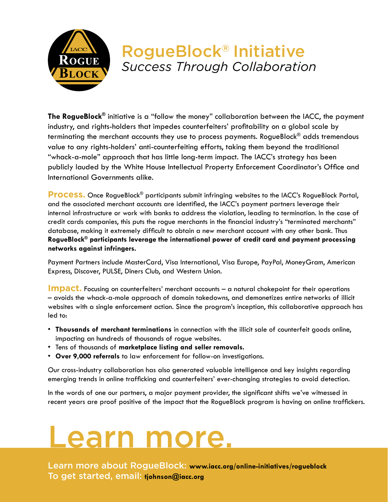

## RogueBlock® Initiative *Success Through Collaboration*

**The RogueBlock®** initiative is a "follow the money" collaboration between the IACC, the payment industry, and rights-holders that impedes counterfeiters' profitability on a global scale by terminating the merchant accounts they use to process payments. RogueBlock® adds tremendous value to any rights-holders' anti-counterfeiting efforts, taking them beyond the traditional "whack-a-mole" approach that has little long-term impact. The IACC's strategy has been publicly lauded by the White House Intellectual Property Enforcement Coordinator's Office and International Governments alike.

**Process.** Once RogueBlock<sup>®</sup> participants submit infringing websites to the IACC's RogueBlock Portal, and the associated merchant accounts are identified, the IACC's payment partners leverage their internal infrastructure or work with banks to address the violation, leading to termination. In the case of credit cards companies, this puts the rogue merchants in the financial industry's "terminated merchants" database, making it extremely difficult to obtain a new merchant account with any other bank. Thus **RogueBlock® participants leverage the international power of credit card and payment processing networks against infringers.** 

Payment Partners include MasterCard, Visa International, Visa Europe, PayPal, MoneyGram, American Express, Discover, PULSE, Diners Club, and Western Union.

**Impact.** Focusing on counterfeiters' merchant accounts – a natural chokepoint for their operations – avoids the whack-a-mole approach of domain takedowns, and demonetizes entire networks of illicit websites with a single enforcement action. Since the program's inception, this collaborative approach has led to:

- **Thousands of merchant terminations** in connection with the illicit sale of counterfeit goods online, impacting an hundreds of thousands of rogue websites.
- Tens of thousands of **marketplace listing and seller removals.**
- **Over 9,000 referrals** to law enforcement for follow-on investigations.

Our cross-industry collaboration has also generated valuable intelligence and key insights regarding emerging trends in online trafficking and counterfeiters' ever-changing strategies to avoid detection.

In the words of one our partners, a major payment provider, the significant shifts we've witnessed in recent years are proof positive of the impact that the RogueBlock program is having on online traffickers.

## Learn more.

Learn more about RogueBlock: **www.iacc.org/online-initiatives/rogueblock** To get started, email: **tjohnson@iacc.org**